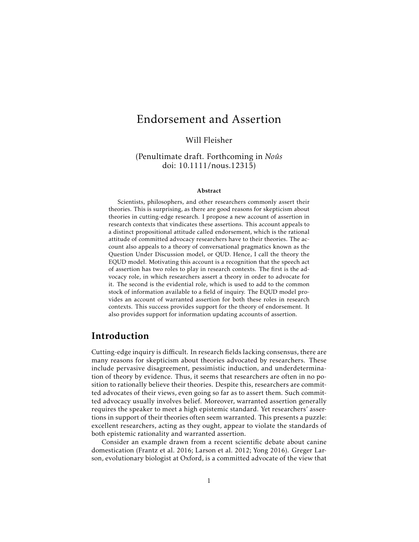# Endorsement and Assertion

Will Fleisher

(Penultimate draft. Forthcoming in *Nousˆ* doi: 10.1111/nous.12315)

#### Abstract

Scientists, philosophers, and other researchers commonly assert their theories. This is surprising, as there are good reasons for skepticism about theories in cutting-edge research. I propose a new account of assertion in research contexts that vindicates these assertions. This account appeals to a distinct propositional attitude called endorsement, which is the rational attitude of committed advocacy researchers have to their theories. The account also appeals to a theory of conversational pragmatics known as the Question Under Discussion model, or QUD. Hence, I call the theory the EQUD model. Motivating this account is a recognition that the speech act of assertion has two roles to play in research contexts. The first is the advocacy role, in which researchers assert a theory in order to advocate for it. The second is the evidential role, which is used to add to the common stock of information available to a field of inquiry. The EQUD model provides an account of warranted assertion for both these roles in research contexts. This success provides support for the theory of endorsement. It also provides support for information updating accounts of assertion.

# Introduction

Cutting-edge inquiry is difficult. In research fields lacking consensus, there are many reasons for skepticism about theories advocated by researchers. These include pervasive disagreement, pessimistic induction, and underdetermination of theory by evidence. Thus, it seems that researchers are often in no position to rationally believe their theories. Despite this, researchers are committed advocates of their views, even going so far as to assert them. Such committed advocacy usually involves belief. Moreover, warranted assertion generally requires the speaker to meet a high epistemic standard. Yet researchers' assertions in support of their theories often seem warranted. This presents a puzzle: excellent researchers, acting as they ought, appear to violate the standards of both epistemic rationality and warranted assertion.

Consider an example drawn from a recent scientific debate about canine domestication [\(Frantz et al. 2016;](#page-23-0) [Larson et al. 2012;](#page-24-0) [Yong 2016\)](#page-26-0). Greger Larson, evolutionary biologist at Oxford, is a committed advocate of the view that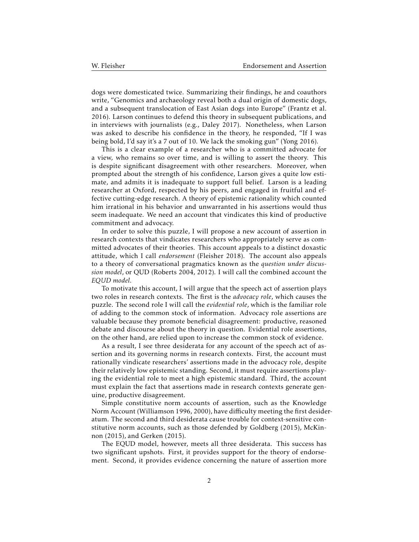dogs were domesticated twice. Summarizing their findings, he and coauthors write, "Genomics and archaeology reveal both a dual origin of domestic dogs, and a subsequent translocation of East Asian dogs into Europe" [\(Frantz et al.](#page-23-0) [2016\)](#page-23-0). Larson continues to defend this theory in subsequent publications, and in interviews with journalists (e.g., [Daley 2017\)](#page-23-1). Nonetheless, when Larson was asked to describe his confidence in the theory, he responded, "If I was being bold, I'd say it's a 7 out of 10. We lack the smoking gun" [\(Yong 2016\)](#page-26-0).

This is a clear example of a researcher who is a committed advocate for a view, who remains so over time, and is willing to assert the theory. This is despite significant disagreement with other researchers. Moreover, when prompted about the strength of his confidence, Larson gives a quite low estimate, and admits it is inadequate to support full belief. Larson is a leading researcher at Oxford, respected by his peers, and engaged in fruitful and effective cutting-edge research. A theory of epistemic rationality which counted him irrational in his behavior and unwarranted in his assertions would thus seem inadequate. We need an account that vindicates this kind of productive commitment and advocacy.

In order to solve this puzzle, I will propose a new account of assertion in research contexts that vindicates researchers who appropriately serve as committed advocates of their theories. This account appeals to a distinct doxastic attitude, which I call *endorsement* [\(Fleisher 2018\)](#page-23-2). The account also appeals to a theory of conversational pragmatics known as the *question under discussion model*, or QUD [\(Roberts 2004,](#page-25-0) [2012\)](#page-25-1). I will call the combined account the *EQUD model*.

To motivate this account, I will argue that the speech act of assertion plays two roles in research contexts. The first is the *advocacy role*, which causes the puzzle. The second role I will call the *evidential role*, which is the familiar role of adding to the common stock of information. Advocacy role assertions are valuable because they promote beneficial disagreement: productive, reasoned debate and discourse about the theory in question. Evidential role assertions, on the other hand, are relied upon to increase the common stock of evidence.

As a result, I see three desiderata for any account of the speech act of assertion and its governing norms in research contexts. First, the account must rationally vindicate researchers' assertions made in the advocacy role, despite their relatively low epistemic standing. Second, it must require assertions playing the evidential role to meet a high epistemic standard. Third, the account must explain the fact that assertions made in research contexts generate genuine, productive disagreement.

Simple constitutive norm accounts of assertion, such as the Knowledge Norm Account [\(Williamson 1996,](#page-26-1) [2000\)](#page-26-2), have difficulty meeting the first desideratum. The second and third desiderata cause trouble for context-sensitive constitutive norm accounts, such as those defended by [Goldberg](#page-23-3) [\(2015\)](#page-23-3), [McKin](#page-25-2)[non](#page-25-2) [\(2015\)](#page-25-2), and [Gerken](#page-23-4) [\(2015\)](#page-23-4).

The EQUD model, however, meets all three desiderata. This success has two significant upshots. First, it provides support for the theory of endorsement. Second, it provides evidence concerning the nature of assertion more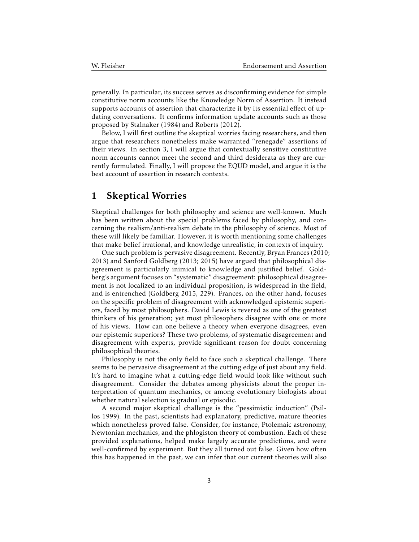generally. In particular, its success serves as disconfirming evidence for simple constitutive norm accounts like the Knowledge Norm of Assertion. It instead supports accounts of assertion that characterize it by its essential effect of updating conversations. It confirms information update accounts such as those proposed by [Stalnaker](#page-26-3) [\(1984\)](#page-26-3) and [Roberts](#page-25-1) [\(2012\)](#page-25-1).

Below, I will first outline the skeptical worries facing researchers, and then argue that researchers nonetheless make warranted "renegade" assertions of their views. In section 3, I will argue that contextually sensitive constitutive norm accounts cannot meet the second and third desiderata as they are currently formulated. Finally, I will propose the EQUD model, and argue it is the best account of assertion in research contexts.

# 1 Skeptical Worries

Skeptical challenges for both philosophy and science are well-known. Much has been written about the special problems faced by philosophy, and concerning the realism/anti-realism debate in the philosophy of science. Most of these will likely be familiar. However, it is worth mentioning some challenges that make belief irrational, and knowledge unrealistic, in contexts of inquiry.

One such problem is pervasive disagreement. Recently, Bryan Frances [\(2010;](#page-23-5) [2013\)](#page-23-6) and Sanford Goldberg [\(2013;](#page-23-7) [2015\)](#page-23-3) have argued that philosophical disagreement is particularly inimical to knowledge and justified belief. Goldberg's argument focuses on "systematic" disagreement: philosophical disagreement is not localized to an individual proposition, is widespread in the field, and is entrenched [\(Goldberg 2015,](#page-23-3) 229). Frances, on the other hand, focuses on the specific problem of disagreement with acknowledged epistemic superiors, faced by most philosophers. David Lewis is revered as one of the greatest thinkers of his generation; yet most philosophers disagree with one or more of his views. How can one believe a theory when everyone disagrees, even our epistemic superiors? These two problems, of systematic disagreement and disagreement with experts, provide significant reason for doubt concerning philosophical theories.

Philosophy is not the only field to face such a skeptical challenge. There seems to be pervasive disagreement at the cutting edge of just about any field. It's hard to imagine what a cutting-edge field would look like without such disagreement. Consider the debates among physicists about the proper interpretation of quantum mechanics, or among evolutionary biologists about whether natural selection is gradual or episodic.

A second major skeptical challenge is the "pessimistic induction" [\(Psil](#page-25-3)[los 1999\)](#page-25-3). In the past, scientists had explanatory, predictive, mature theories which nonetheless proved false. Consider, for instance, Ptolemaic astronomy, Newtonian mechanics, and the phlogiston theory of combustion. Each of these provided explanations, helped make largely accurate predictions, and were well-confirmed by experiment. But they all turned out false. Given how often this has happened in the past, we can infer that our current theories will also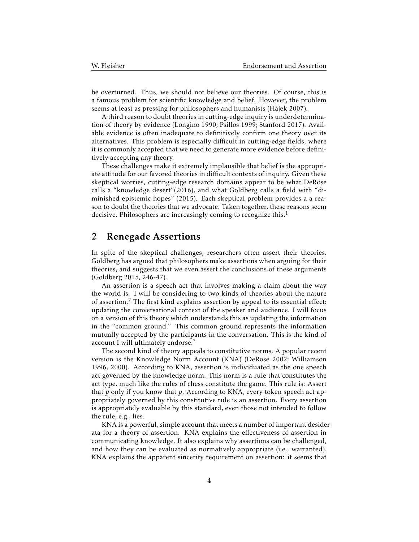be overturned. Thus, we should not believe our theories. Of course, this is a famous problem for scientific knowledge and belief. However, the problem seems at least as pressing for philosophers and humanists (Hájek 2007).

A third reason to doubt theories in cutting-edge inquiry is underdetermination of theory by evidence [\(Longino 1990;](#page-24-2) [Psillos 1999;](#page-25-3) [Stanford 2017\)](#page-26-4). Available evidence is often inadequate to definitively confirm one theory over its alternatives. This problem is especially difficult in cutting-edge fields, where it is commonly accepted that we need to generate more evidence before definitively accepting any theory.

These challenges make it extremely implausible that belief is the appropriate attitude for our favored theories in difficult contexts of inquiry. Given these skeptical worries, cutting-edge research domains appear to be what DeRose calls a "knowledge desert"[\(2016\)](#page-23-8), and what Goldberg calls a field with "diminished epistemic hopes" [\(2015\)](#page-23-3). Each skeptical problem provides a a reason to doubt the theories that we advocate. Taken together, these reasons seem decisive. Philosophers are increasingly coming to recognize this.<sup>[1](#page-20-0)</sup>

# 2 Renegade Assertions

In spite of the skeptical challenges, researchers often assert their theories. Goldberg has argued that philosophers make assertions when arguing for their theories, and suggests that we even assert the conclusions of these arguments [\(Goldberg 2015,](#page-23-3) 246-47).

An assertion is a speech act that involves making a claim about the way the world is. I will be considering to two kinds of theories about the nature of assertion.[2](#page-20-1) The first kind explains assertion by appeal to its essential effect: updating the conversational context of the speaker and audience. I will focus on a version of this theory which understands this as updating the information in the "common ground." This common ground represents the information mutually accepted by the participants in the conversation. This is the kind of account I will ultimately endorse.<sup>[3](#page-20-2)</sup>

The second kind of theory appeals to constitutive norms. A popular recent version is the Knowledge Norm Account (KNA) [\(DeRose 2002;](#page-23-9) [Williamson](#page-26-1) [1996,](#page-26-1) [2000\)](#page-26-2). According to KNA, assertion is individuated as the one speech act governed by the knowledge norm. This norm is a rule that constitutes the act type, much like the rules of chess constitute the game. This rule is: Assert that *p* only if you know that *p*. According to KNA, every token speech act appropriately governed by this constitutive rule is an assertion. Every assertion is appropriately evaluable by this standard, even those not intended to follow the rule, e.g., lies.

KNA is a powerful, simple account that meets a number of important desiderata for a theory of assertion. KNA explains the effectiveness of assertion in communicating knowledge. It also explains why assertions can be challenged, and how they can be evaluated as normatively appropriate (i.e., warranted). KNA explains the apparent sincerity requirement on assertion: it seems that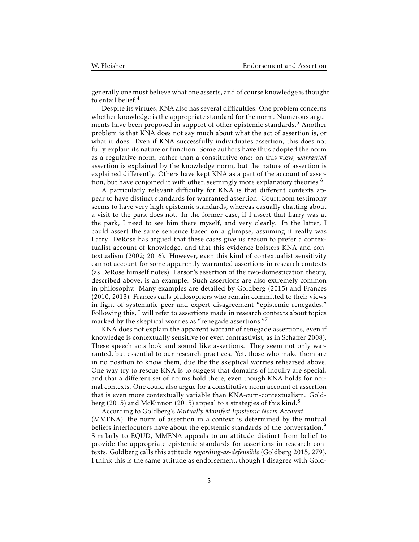generally one must believe what one asserts, and of course knowledge is thought to entail belief.<sup>[4](#page-20-3)</sup>

Despite its virtues, KNA also has several difficulties. One problem concerns whether knowledge is the appropriate standard for the norm. Numerous argu-ments have been proposed in support of other epistemic standards.<sup>[5](#page-20-4)</sup> Another problem is that KNA does not say much about what the act of assertion is, or what it does. Even if KNA successfully individuates assertion, this does not fully explain its nature or function. Some authors have thus adopted the norm as a regulative norm, rather than a constitutive one: on this view, *warranted* assertion is explained by the knowledge norm, but the nature of assertion is explained differently. Others have kept KNA as a part of the account of asser-tion, but have conjoined it with other, seemingly more explanatory theories.<sup>[6](#page-20-5)</sup>

A particularly relevant difficulty for KNA is that different contexts appear to have distinct standards for warranted assertion. Courtroom testimony seems to have very high epistemic standards, whereas casually chatting about a visit to the park does not. In the former case, if I assert that Larry was at the park, I need to see him there myself, and very clearly. In the latter, I could assert the same sentence based on a glimpse, assuming it really was Larry. DeRose has argued that these cases give us reason to prefer a contextualist account of knowledge, and that this evidence bolsters KNA and contextualism [\(2002;](#page-23-9) [2016\)](#page-23-8). However, even this kind of contextualist sensitivity cannot account for some apparently warranted assertions in research contexts (as DeRose himself notes). Larson's assertion of the two-domestication theory, described above, is an example. Such assertions are also extremely common in philosophy. Many examples are detailed by [Goldberg](#page-23-3) [\(2015\)](#page-23-3) and [Frances](#page-23-5) [\(2010,](#page-23-5) [2013\)](#page-23-6). Frances calls philosophers who remain committed to their views in light of systematic peer and expert disagreement "epistemic renegades." Following this, I will refer to assertions made in research contexts about topics marked by the skeptical worries as "renegade assertions."[7](#page-20-6)

KNA does not explain the apparent warrant of renegade assertions, even if knowledge is contextually sensitive (or even contrastivist, as in [Scha](#page-25-4)ffer [2008\)](#page-25-4). These speech acts look and sound like assertions. They seem not only warranted, but essential to our research practices. Yet, those who make them are in no position to know them, due the the skeptical worries rehearsed above. One way try to rescue KNA is to suggest that domains of inquiry are special, and that a different set of norms hold there, even though KNA holds for normal contexts. One could also argue for a constitutive norm account of assertion that is even more contextually variable than KNA-cum-contextualism. [Gold](#page-23-3)[berg](#page-23-3) [\(2015\)](#page-25-2) and [McKinnon](#page-25-2) (2015) appeal to a strategies of this kind.<sup>[8](#page-20-7)</sup>

According to Goldberg's *Mutually Manifest Epistemic Norm Account* (MMENA), the norm of assertion in a context is determined by the mutual beliefs interlocutors have about the epistemic standards of the conversation.<sup>[9](#page-20-8)</sup> Similarly to EQUD, MMENA appeals to an attitude distinct from belief to provide the appropriate epistemic standards for assertions in research contexts. Goldberg calls this attitude *regarding-as-defensible* [\(Goldberg 2015,](#page-23-3) 279). I think this is the same attitude as endorsement, though I disagree with Gold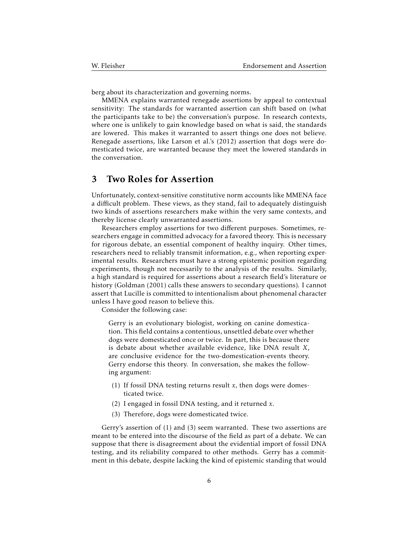berg about its characterization and governing norms.

MMENA explains warranted renegade assertions by appeal to contextual sensitivity: The standards for warranted assertion can shift based on (what the participants take to be) the conversation's purpose. In research contexts, where one is unlikely to gain knowledge based on what is said, the standards are lowered. This makes it warranted to assert things one does not believe. Renegade assertions, like Larson et al.'s [\(2012\)](#page-24-0) assertion that dogs were domesticated twice, are warranted because they meet the lowered standards in the conversation.

### <span id="page-5-0"></span>3 Two Roles for Assertion

Unfortunately, context-sensitive constitutive norm accounts like MMENA face a difficult problem. These views, as they stand, fail to adequately distinguish two kinds of assertions researchers make within the very same contexts, and thereby license clearly unwarranted assertions.

Researchers employ assertions for two different purposes. Sometimes, researchers engage in committed advocacy for a favored theory. This is necessary for rigorous debate, an essential component of healthy inquiry. Other times, researchers need to reliably transmit information, e.g., when reporting experimental results. Researchers must have a strong epistemic position regarding experiments, though not necessarily to the analysis of the results. Similarly, a high standard is required for assertions about a research field's literature or history [\(Goldman](#page-23-10) [\(2001\)](#page-23-10) calls these answers to secondary questions). I cannot assert that Lucille is committed to intentionalism about phenomenal character unless I have good reason to believe this.

Consider the following case:

Gerry is an evolutionary biologist, working on canine domestication. This field contains a contentious, unsettled debate over whether dogs were domesticated once or twice. In part, this is because there is debate about whether available evidence, like DNA result *X*, are conclusive evidence for the two-domestication-events theory. Gerry endorse this theory. In conversation, she makes the following argument:

- (1) If fossil DNA testing returns result *x*, then dogs were domesticated twice.
- (2) I engaged in fossil DNA testing, and it returned *x*.
- (3) Therefore, dogs were domesticated twice.

Gerry's assertion of (1) and (3) seem warranted. These two assertions are meant to be entered into the discourse of the field as part of a debate. We can suppose that there is disagreement about the evidential import of fossil DNA testing, and its reliability compared to other methods. Gerry has a commitment in this debate, despite lacking the kind of epistemic standing that would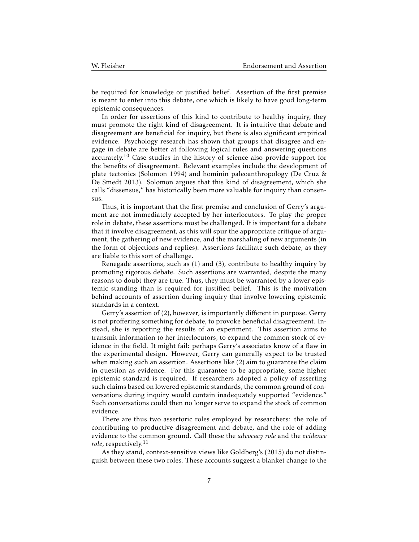be required for knowledge or justified belief. Assertion of the first premise is meant to enter into this debate, one which is likely to have good long-term epistemic consequences.

In order for assertions of this kind to contribute to healthy inquiry, they must promote the right kind of disagreement. It is intuitive that debate and disagreement are beneficial for inquiry, but there is also significant empirical evidence. Psychology research has shown that groups that disagree and engage in debate are better at following logical rules and answering questions accurately.<sup>[10](#page-20-9)</sup> Case studies in the history of science also provide support for the benefits of disagreement. Relevant examples include the development of plate tectonics [\(Solomon 1994\)](#page-25-5) and hominin paleoanthropology [\(De Cruz &](#page-23-11) [De Smedt 2013\)](#page-23-11). Solomon argues that this kind of disagreement, which she calls "dissensus," has historically been more valuable for inquiry than consensus.

Thus, it is important that the first premise and conclusion of Gerry's argument are not immediately accepted by her interlocutors. To play the proper role in debate, these assertions must be challenged. It is important for a debate that it involve disagreement, as this will spur the appropriate critique of argument, the gathering of new evidence, and the marshaling of new arguments (in the form of objections and replies). Assertions facilitate such debate, as they are liable to this sort of challenge.

Renegade assertions, such as (1) and (3), contribute to healthy inquiry by promoting rigorous debate. Such assertions are warranted, despite the many reasons to doubt they are true. Thus, they must be warranted by a lower epistemic standing than is required for justified belief. This is the motivation behind accounts of assertion during inquiry that involve lowering epistemic standards in a context.

Gerry's assertion of (2), however, is importantly different in purpose. Gerry is not proffering something for debate, to provoke beneficial disagreement. Instead, she is reporting the results of an experiment. This assertion aims to transmit information to her interlocutors, to expand the common stock of evidence in the field. It might fail: perhaps Gerry's associates know of a flaw in the experimental design. However, Gerry can generally expect to be trusted when making such an assertion. Assertions like (2) aim to guarantee the claim in question as evidence. For this guarantee to be appropriate, some higher epistemic standard is required. If researchers adopted a policy of asserting such claims based on lowered epistemic standards, the common ground of conversations during inquiry would contain inadequately supported "evidence." Such conversations could then no longer serve to expand the stock of common evidence.

There are thus two assertoric roles employed by researchers: the role of contributing to productive disagreement and debate, and the role of adding evidence to the common ground. Call these the *advocacy role* and the *evidence role*, respectively.<sup>[11](#page-20-10)</sup>

As they stand, context-sensitive views like Goldberg's [\(2015\)](#page-23-3) do not distinguish between these two roles. These accounts suggest a blanket change to the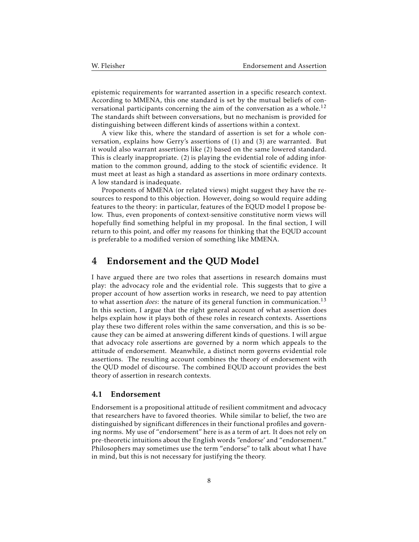epistemic requirements for warranted assertion in a specific research context. According to MMENA, this one standard is set by the mutual beliefs of con-versational participants concerning the aim of the conversation as a whole.<sup>[12](#page-20-11)</sup> The standards shift between conversations, but no mechanism is provided for distinguishing between different kinds of assertions within a context.

A view like this, where the standard of assertion is set for a whole conversation, explains how Gerry's assertions of (1) and (3) are warranted. But it would also warrant assertions like (2) based on the same lowered standard. This is clearly inappropriate. (2) is playing the evidential role of adding information to the common ground, adding to the stock of scientific evidence. It must meet at least as high a standard as assertions in more ordinary contexts. A low standard is inadequate.

Proponents of MMENA (or related views) might suggest they have the resources to respond to this objection. However, doing so would require adding features to the theory: in particular, features of the EQUD model I propose below. Thus, even proponents of context-sensitive constitutive norm views will hopefully find something helpful in my proposal. In the final section, I will return to this point, and offer my reasons for thinking that the EQUD account is preferable to a modified version of something like MMENA.

### <span id="page-7-0"></span>4 Endorsement and the QUD Model

I have argued there are two roles that assertions in research domains must play: the advocacy role and the evidential role. This suggests that to give a proper account of how assertion works in research, we need to pay attention to what assertion *does*: the nature of its general function in communication.[13](#page-21-0) In this section, I argue that the right general account of what assertion does helps explain how it plays both of these roles in research contexts. Assertions play these two different roles within the same conversation, and this is so because they can be aimed at answering different kinds of questions. I will argue that advocacy role assertions are governed by a norm which appeals to the attitude of endorsement. Meanwhile, a distinct norm governs evidential role assertions. The resulting account combines the theory of endorsement with the QUD model of discourse. The combined EQUD account provides the best theory of assertion in research contexts.

#### 4.1 Endorsement

Endorsement is a propositional attitude of resilient commitment and advocacy that researchers have to favored theories. While similar to belief, the two are distinguished by significant differences in their functional profiles and governing norms. My use of "endorsement" here is as a term of art. It does not rely on pre-theoretic intuitions about the English words "endorse' and "endorsement." Philosophers may sometimes use the term "endorse" to talk about what I have in mind, but this is not necessary for justifying the theory.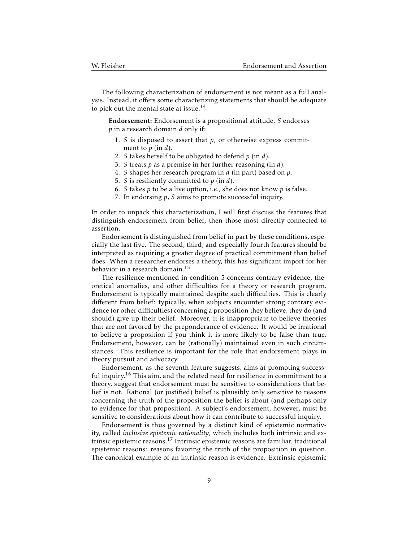The following characterization of endorsement is not meant as a full analysis. Instead, it offers some characterizing statements that should be adequate to pick out the mental state at issue.<sup>[14](#page-21-1)</sup>

Endorsement: Endorsement is a propositional attitude. *S* endorses *p* in a research domain *d* only if:

- 1. *S* is disposed to assert that *p*, or otherwise express commitment to *p* (in *d*).
- 2. *S* takes herself to be obligated to defend *p* (in *d*).
- 3. *S* treats *p* as a premise in her further reasoning (in *d*).
- 4. *S* shapes her research program in *d* (in part) based on *p*.
- 5. *S* is resiliently committed to *p* (in *d*).
- 6. *S* takes *p* to be a live option, i.e., she does not know *p* is false.
- 7. In endorsing *p*, *S* aims to promote successful inquiry.

In order to unpack this characterization, I will first discuss the features that distinguish endorsement from belief, then those most directly connected to assertion.

Endorsement is distinguished from belief in part by these conditions, especially the last five. The second, third, and especially fourth features should be interpreted as requiring a greater degree of practical commitment than belief does. When a researcher endorses a theory, this has significant import for her behavior in a research domain.<sup>[15](#page-21-2)</sup>

The resilience mentioned in condition 5 concerns contrary evidence, theoretical anomalies, and other difficulties for a theory or research program. Endorsement is typically maintained despite such difficulties. This is clearly different from belief: typically, when subjects encounter strong contrary evidence (or other difficulties) concerning a proposition they believe, they do (and should) give up their belief. Moreover, it is inappropriate to believe theories that are not favored by the preponderance of evidence. It would be irrational to believe a proposition if you think it is more likely to be false than true. Endorsement, however, can be (rationally) maintained even in such circumstances. This resilience is important for the role that endorsement plays in theory pursuit and advocacy.

Endorsement, as the seventh feature suggests, aims at promoting success-ful inquiry.<sup>[16](#page-21-3)</sup> This aim, and the related need for resilience in commitment to a theory, suggest that endorsement must be sensitive to considerations that belief is not. Rational (or justified) belief is plausibly only sensitive to reasons concerning the truth of the proposition the belief is about (and perhaps only to evidence for that proposition). A subject's endorsement, however, must be sensitive to considerations about how it can contribute to successful inquiry.

Endorsement is thus governed by a distinct kind of epistemic normativity, called *inclusive epistemic rationality*, which includes both intrinsic and extrinsic epistemic reasons.[17](#page-21-4) Intrinsic epistemic reasons are familiar, traditional epistemic reasons: reasons favoring the truth of the proposition in question. The canonical example of an intrinsic reason is evidence. Extrinsic epistemic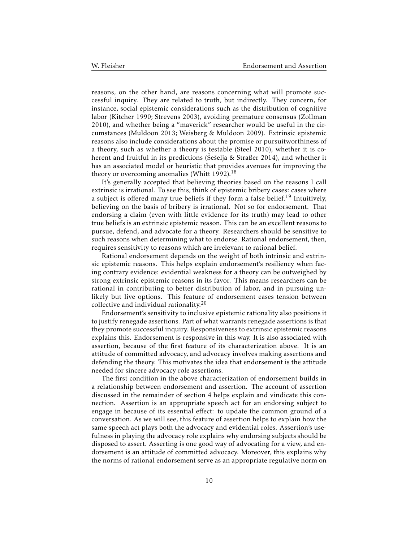reasons, on the other hand, are reasons concerning what will promote successful inquiry. They are related to truth, but indirectly. They concern, for instance, social epistemic considerations such as the distribution of cognitive labor [\(Kitcher 1990;](#page-24-3) [Strevens 2003\)](#page-26-5), avoiding premature consensus [\(Zollman](#page-26-6) [2010\)](#page-26-6), and whether being a "maverick" researcher would be useful in the circumstances [\(Muldoon 2013;](#page-25-6) [Weisberg & Muldoon 2009\)](#page-26-7). Extrinsic epistemic reasons also include considerations about the promise or pursuitworthiness of a theory, such as whether a theory is testable [\(Steel 2010\)](#page-26-8), whether it is coherent and fruitful in its predictions (Sešelja & Straßer 2014), and whether it has an associated model or heuristic that provides avenues for improving the theory or overcoming anomalies (Whitt  $1992$ ).<sup>[18](#page-21-5)</sup>

It's generally accepted that believing theories based on the reasons I call extrinsic is irrational. To see this, think of epistemic bribery cases: cases where a subject is offered many true beliefs if they form a false belief.<sup>[19](#page-21-6)</sup> Intuitively, believing on the basis of bribery is irrational. Not so for endorsement. That endorsing a claim (even with little evidence for its truth) may lead to other true beliefs is an extrinsic epistemic reason. This can be an excellent reasons to pursue, defend, and advocate for a theory. Researchers should be sensitive to such reasons when determining what to endorse. Rational endorsement, then, requires sensitivity to reasons which are irrelevant to rational belief.

Rational endorsement depends on the weight of both intrinsic and extrinsic epistemic reasons. This helps explain endorsement's resiliency when facing contrary evidence: evidential weakness for a theory can be outweighed by strong extrinsic epistemic reasons in its favor. This means researchers can be rational in contributing to better distribution of labor, and in pursuing unlikely but live options. This feature of endorsement eases tension between collective and individual rationality.<sup>[20](#page-21-7)</sup>

Endorsement's sensitivity to inclusive epistemic rationality also positions it to justify renegade assertions. Part of what warrants renegade assertions is that they promote successful inquiry. Responsiveness to extrinsic epistemic reasons explains this. Endorsement is responsive in this way. It is also associated with assertion, because of the first feature of its characterization above. It is an attitude of committed advocacy, and advocacy involves making assertions and defending the theory. This motivates the idea that endorsement is the attitude needed for sincere advocacy role assertions.

The first condition in the above characterization of endorsement builds in a relationship between endorsement and assertion. The account of assertion discussed in the remainder of section [4](#page-7-0) helps explain and vindicate this connection. Assertion is an appropriate speech act for an endorsing subject to engage in because of its essential effect: to update the common ground of a conversation. As we will see, this feature of assertion helps to explain how the same speech act plays both the advocacy and evidential roles. Assertion's usefulness in playing the advocacy role explains why endorsing subjects should be disposed to assert. Asserting is one good way of advocating for a view, and endorsement is an attitude of committed advocacy. Moreover, this explains why the norms of rational endorsement serve as an appropriate regulative norm on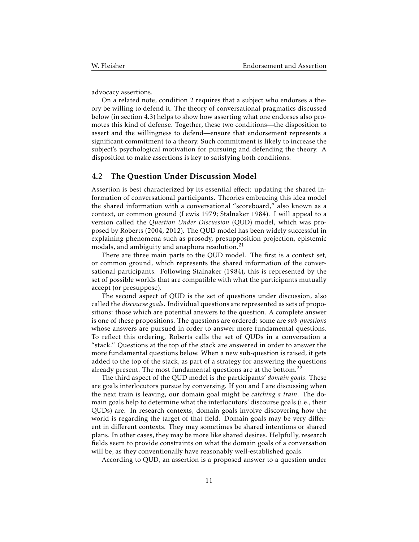advocacy assertions.

On a related note, condition 2 requires that a subject who endorses a theory be willing to defend it. The theory of conversational pragmatics discussed below (in section [4.3\)](#page-11-0) helps to show how asserting what one endorses also promotes this kind of defense. Together, these two conditions—the disposition to assert and the willingness to defend—ensure that endorsement represents a significant commitment to a theory. Such commitment is likely to increase the subject's psychological motivation for pursuing and defending the theory. A disposition to make assertions is key to satisfying both conditions.

#### 4.2 The Question Under Discussion Model

Assertion is best characterized by its essential effect: updating the shared information of conversational participants. Theories embracing this idea model the shared information with a conversational "scoreboard," also known as a context, or common ground [\(Lewis 1979;](#page-24-4) [Stalnaker 1984\)](#page-26-3). I will appeal to a version called the *Question Under Discussion* (QUD) model, which was proposed by [Roberts](#page-25-0) [\(2004,](#page-25-0) [2012\)](#page-25-1). The QUD model has been widely successful in explaining phenomena such as prosody, presupposition projection, epistemic modals, and ambiguity and anaphora resolution. $^{21}$  $^{21}$  $^{21}$ 

There are three main parts to the QUD model. The first is a context set, or common ground, which represents the shared information of the conversational participants. Following [Stalnaker](#page-26-3) [\(1984\)](#page-26-3), this is represented by the set of possible worlds that are compatible with what the participants mutually accept (or presuppose).

The second aspect of QUD is the set of questions under discussion, also called the *discourse goals*. Individual questions are represented as sets of propositions: those which are potential answers to the question. A complete answer is one of these propositions. The questions are ordered: some are *sub-questions* whose answers are pursued in order to answer more fundamental questions. To reflect this ordering, Roberts calls the set of QUDs in a conversation a "stack." Questions at the top of the stack are answered in order to answer the more fundamental questions below. When a new sub-question is raised, it gets added to the top of the stack, as part of a strategy for answering the questions already present. The most fundamental questions are at the bottom.<sup>[22](#page-21-9)</sup>

The third aspect of the QUD model is the participants' *domain goals*. These are goals interlocutors pursue by conversing. If you and I are discussing when the next train is leaving, our domain goal might be *catching a train*. The domain goals help to determine what the interlocutors' discourse goals (i.e., their QUDs) are. In research contexts, domain goals involve discovering how the world is regarding the target of that field. Domain goals may be very different in different contexts. They may sometimes be shared intentions or shared plans. In other cases, they may be more like shared desires. Helpfully, research fields seem to provide constraints on what the domain goals of a conversation will be, as they conventionally have reasonably well-established goals.

According to QUD, an assertion is a proposed answer to a question under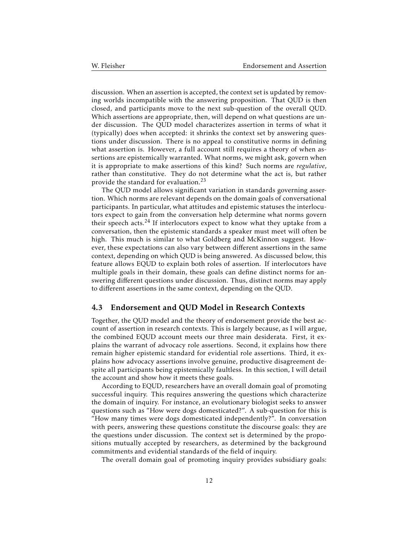discussion. When an assertion is accepted, the context set is updated by removing worlds incompatible with the answering proposition. That QUD is then closed, and participants move to the next sub-question of the overall QUD. Which assertions are appropriate, then, will depend on what questions are under discussion. The QUD model characterizes assertion in terms of what it (typically) does when accepted: it shrinks the context set by answering questions under discussion. There is no appeal to constitutive norms in defining what assertion is. However, a full account still requires a theory of when assertions are epistemically warranted. What norms, we might ask, govern when it is appropriate to make assertions of this kind? Such norms are *regulative*, rather than constitutive. They do not determine what the act is, but rather provide the standard for evaluation.<sup>[23](#page-21-10)</sup>

The QUD model allows significant variation in standards governing assertion. Which norms are relevant depends on the domain goals of conversational participants. In particular, what attitudes and epistemic statuses the interlocutors expect to gain from the conversation help determine what norms govern their speech acts.<sup>[24](#page-21-11)</sup> If interlocutors expect to know what they uptake from a conversation, then the epistemic standards a speaker must meet will often be high. This much is similar to what Goldberg and McKinnon suggest. However, these expectations can also vary between different assertions in the same context, depending on which QUD is being answered. As discussed below, this feature allows EQUD to explain both roles of assertion. If interlocutors have multiple goals in their domain, these goals can define distinct norms for answering different questions under discussion. Thus, distinct norms may apply to different assertions in the same context, depending on the QUD.

#### <span id="page-11-0"></span>4.3 Endorsement and QUD Model in Research Contexts

Together, the QUD model and the theory of endorsement provide the best account of assertion in research contexts. This is largely because, as I will argue, the combined EQUD account meets our three main desiderata. First, it explains the warrant of advocacy role assertions. Second, it explains how there remain higher epistemic standard for evidential role assertions. Third, it explains how advocacy assertions involve genuine, productive disagreement despite all participants being epistemically faultless. In this section, I will detail the account and show how it meets these goals.

According to EQUD, researchers have an overall domain goal of promoting successful inquiry. This requires answering the questions which characterize the domain of inquiry. For instance, an evolutionary biologist seeks to answer questions such as "How were dogs domesticated?". A sub-question for this is "How many times were dogs domesticated independently?". In conversation with peers, answering these questions constitute the discourse goals: they are the questions under discussion. The context set is determined by the propositions mutually accepted by researchers, as determined by the background commitments and evidential standards of the field of inquiry.

The overall domain goal of promoting inquiry provides subsidiary goals: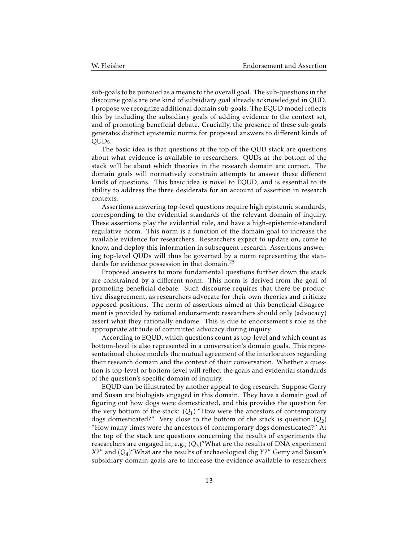sub-goals to be pursued as a means to the overall goal. The sub-questions in the discourse goals are one kind of subsidiary goal already acknowledged in QUD. I propose we recognize additional domain sub-goals. The EQUD model reflects this by including the subsidiary goals of adding evidence to the context set, and of promoting beneficial debate. Crucially, the presence of these sub-goals generates distinct epistemic norms for proposed answers to different kinds of QUDs.

The basic idea is that questions at the top of the QUD stack are questions about what evidence is available to researchers. QUDs at the bottom of the stack will be about which theories in the research domain are correct. The domain goals will normatively constrain attempts to answer these different kinds of questions. This basic idea is novel to EQUD, and is essential to its ability to address the three desiderata for an account of assertion in research contexts.

Assertions answering top-level questions require high epistemic standards, corresponding to the evidential standards of the relevant domain of inquiry. These assertions play the evidential role, and have a high-epistemic-standard regulative norm. This norm is a function of the domain goal to increase the available evidence for researchers. Researchers expect to update on, come to know, and deploy this information in subsequent research. Assertions answering top-level QUDs will thus be governed by a norm representing the standards for evidence possession in that domain.[25](#page-21-12)

Proposed answers to more fundamental questions further down the stack are constrained by a different norm. This norm is derived from the goal of promoting beneficial debate. Such discourse requires that there be productive disagreement, as researchers advocate for their own theories and criticize opposed positions. The norm of assertions aimed at this beneficial disagreement is provided by rational endorsement: researchers should only (advocacy) assert what they rationally endorse. This is due to endorsement's role as the appropriate attitude of committed advocacy during inquiry.

According to EQUD, which questions count as top-level and which count as bottom-level is also represented in a conversation's domain goals. This representational choice models the mutual agreement of the interlocutors regarding their research domain and the context of their conversation. Whether a question is top-level or bottom-level will reflect the goals and evidential standards of the question's specific domain of inquiry.

EQUD can be illustrated by another appeal to dog research. Suppose Gerry and Susan are biologists engaged in this domain. They have a domain goal of figuring out how dogs were domesticated, and this provides the question for the very bottom of the stack:  $(Q_1)$  "How were the ancestors of contemporary dogs domesticated?" Very close to the bottom of the stack is question  $(Q_2)$ "How many times were the ancestors of contemporary dogs domesticated?" At the top of the stack are questions concerning the results of experiments the researchers are engaged in, e.g., (*Q*3)"What are the results of DNA experiment  $X$ ?" and  $(Q_4)$ "What are the results of archaeological dig *Y*?" Gerry and Susan's subsidiary domain goals are to increase the evidence available to researchers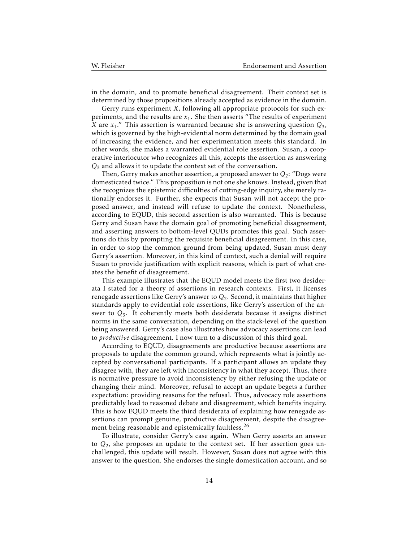in the domain, and to promote beneficial disagreement. Their context set is determined by those propositions already accepted as evidence in the domain.

Gerry runs experiment *X*, following all appropriate protocols for such experiments, and the results are  $x_1$ . She then asserts "The results of experiment *X* are  $x_1$ ." This assertion is warranted because she is answering question  $Q_3$ , which is governed by the high-evidential norm determined by the domain goal of increasing the evidence, and her experimentation meets this standard. In other words, she makes a warranted evidential role assertion. Susan, a cooperative interlocutor who recognizes all this, accepts the assertion as answering *Q*<sup>3</sup> and allows it to update the context set of the conversation.

Then, Gerry makes another assertion, a proposed answer to  $Q_2$ : "Dogs were domesticated twice." This proposition is not one she knows. Instead, given that she recognizes the epistemic difficulties of cutting-edge inquiry, she merely rationally endorses it. Further, she expects that Susan will not accept the proposed answer, and instead will refuse to update the context. Nonetheless, according to EQUD, this second assertion is also warranted. This is because Gerry and Susan have the domain goal of promoting beneficial disagreement, and asserting answers to bottom-level QUDs promotes this goal. Such assertions do this by prompting the requisite beneficial disagreement. In this case, in order to stop the common ground from being updated, Susan must deny Gerry's assertion. Moreover, in this kind of context, such a denial will require Susan to provide justification with explicit reasons, which is part of what creates the benefit of disagreement.

This example illustrates that the EQUD model meets the first two desiderata I stated for a theory of assertions in research contexts. First, it licenses renegade assertions like Gerry's answer to *Q*2. Second, it maintains that higher standards apply to evidential role assertions, like Gerry's assertion of the answer to *Q*3. It coherently meets both desiderata because it assigns distinct norms in the same conversation, depending on the stack-level of the question being answered. Gerry's case also illustrates how advocacy assertions can lead to *productive* disagreement. I now turn to a discussion of this third goal.

According to EQUD, disagreements are productive because assertions are proposals to update the common ground, which represents what is jointly accepted by conversational participants. If a participant allows an update they disagree with, they are left with inconsistency in what they accept. Thus, there is normative pressure to avoid inconsistency by either refusing the update or changing their mind. Moreover, refusal to accept an update begets a further expectation: providing reasons for the refusal. Thus, advocacy role assertions predictably lead to reasoned debate and disagreement, which benefits inquiry. This is how EQUD meets the third desiderata of explaining how renegade assertions can prompt genuine, productive disagreement, despite the disagree-ment being reasonable and epistemically faultless.<sup>[26](#page-21-13)</sup>

To illustrate, consider Gerry's case again. When Gerry asserts an answer to *Q*2, she proposes an update to the context set. If her assertion goes unchallenged, this update will result. However, Susan does not agree with this answer to the question. She endorses the single domestication account, and so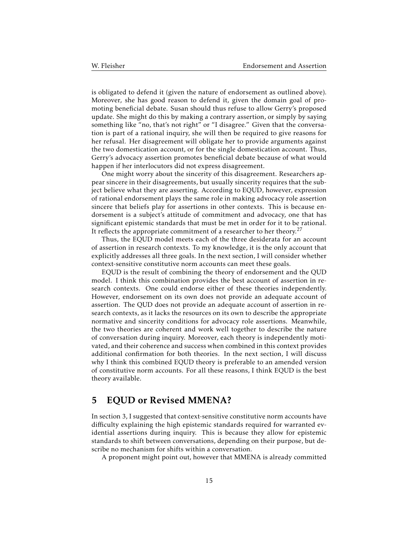is obligated to defend it (given the nature of endorsement as outlined above). Moreover, she has good reason to defend it, given the domain goal of promoting beneficial debate. Susan should thus refuse to allow Gerry's proposed update. She might do this by making a contrary assertion, or simply by saying something like "no, that's not right" or "I disagree." Given that the conversation is part of a rational inquiry, she will then be required to give reasons for her refusal. Her disagreement will obligate her to provide arguments against the two domestication account, or for the single domestication account. Thus, Gerry's advocacy assertion promotes beneficial debate because of what would happen if her interlocutors did not express disagreement.

One might worry about the sincerity of this disagreement. Researchers appear sincere in their disagreements, but usually sincerity requires that the subject believe what they are asserting. According to EQUD, however, expression of rational endorsement plays the same role in making advocacy role assertion sincere that beliefs play for assertions in other contexts. This is because endorsement is a subject's attitude of commitment and advocacy, one that has significant epistemic standards that must be met in order for it to be rational. It reflects the appropriate commitment of a researcher to her theory.<sup>[27](#page-21-14)</sup>

Thus, the EQUD model meets each of the three desiderata for an account of assertion in research contexts. To my knowledge, it is the only account that explicitly addresses all three goals. In the next section, I will consider whether context-sensitive constitutive norm accounts can meet these goals.

EQUD is the result of combining the theory of endorsement and the QUD model. I think this combination provides the best account of assertion in research contexts. One could endorse either of these theories independently. However, endorsement on its own does not provide an adequate account of assertion. The QUD does not provide an adequate account of assertion in research contexts, as it lacks the resources on its own to describe the appropriate normative and sincerity conditions for advocacy role assertions. Meanwhile, the two theories are coherent and work well together to describe the nature of conversation during inquiry. Moreover, each theory is independently motivated, and their coherence and success when combined in this context provides additional confirmation for both theories. In the next section, I will discuss why I think this combined EQUD theory is preferable to an amended version of constitutive norm accounts. For all these reasons, I think EQUD is the best theory available.

### 5 EQUD or Revised MMENA?

In section [3,](#page-5-0) I suggested that context-sensitive constitutive norm accounts have difficulty explaining the high epistemic standards required for warranted evidential assertions during inquiry. This is because they allow for epistemic standards to shift between conversations, depending on their purpose, but describe no mechanism for shifts within a conversation.

A proponent might point out, however that MMENA is already committed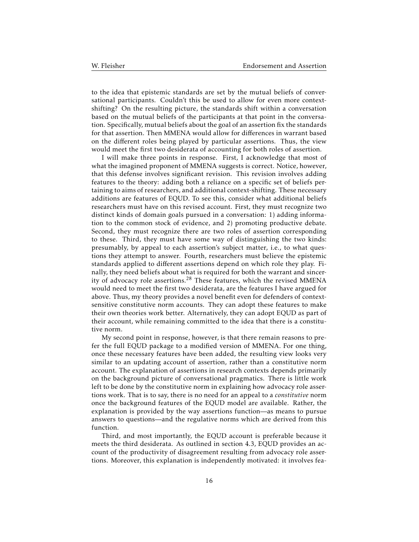to the idea that epistemic standards are set by the mutual beliefs of conversational participants. Couldn't this be used to allow for even more contextshifting? On the resulting picture, the standards shift within a conversation based on the mutual beliefs of the participants at that point in the conversation. Specifically, mutual beliefs about the goal of an assertion fix the standards for that assertion. Then MMENA would allow for differences in warrant based on the different roles being played by particular assertions. Thus, the view would meet the first two desiderata of accounting for both roles of assertion.

I will make three points in response. First, I acknowledge that most of what the imagined proponent of MMENA suggests is correct. Notice, however, that this defense involves significant revision. This revision involves adding features to the theory: adding both a reliance on a specific set of beliefs pertaining to aims of researchers, and additional context-shifting. These necessary additions are features of EQUD. To see this, consider what additional beliefs researchers must have on this revised account. First, they must recognize two distinct kinds of domain goals pursued in a conversation: 1) adding information to the common stock of evidence, and 2) promoting productive debate. Second, they must recognize there are two roles of assertion corresponding to these. Third, they must have some way of distinguishing the two kinds: presumably, by appeal to each assertion's subject matter, i.e., to what questions they attempt to answer. Fourth, researchers must believe the epistemic standards applied to different assertions depend on which role they play. Finally, they need beliefs about what is required for both the warrant and sincer-ity of advocacy role assertions.<sup>[28](#page-21-15)</sup> These features, which the revised MMENA would need to meet the first two desiderata, are the features I have argued for above. Thus, my theory provides a novel benefit even for defenders of contextsensitive constitutive norm accounts. They can adopt these features to make their own theories work better. Alternatively, they can adopt EQUD as part of their account, while remaining committed to the idea that there is a constitutive norm.

My second point in response, however, is that there remain reasons to prefer the full EQUD package to a modified version of MMENA. For one thing, once these necessary features have been added, the resulting view looks very similar to an updating account of assertion, rather than a constitutive norm account. The explanation of assertions in research contexts depends primarily on the background picture of conversational pragmatics. There is little work left to be done by the constitutive norm in explaining how advocacy role assertions work. That is to say, there is no need for an appeal to a *constitutive* norm once the background features of the EQUD model are available. Rather, the explanation is provided by the way assertions function—as means to pursue answers to questions—and the regulative norms which are derived from this function.

Third, and most importantly, the EQUD account is preferable because it meets the third desiderata. As outlined in section [4.3,](#page-11-0) EQUD provides an account of the productivity of disagreement resulting from advocacy role assertions. Moreover, this explanation is independently motivated: it involves fea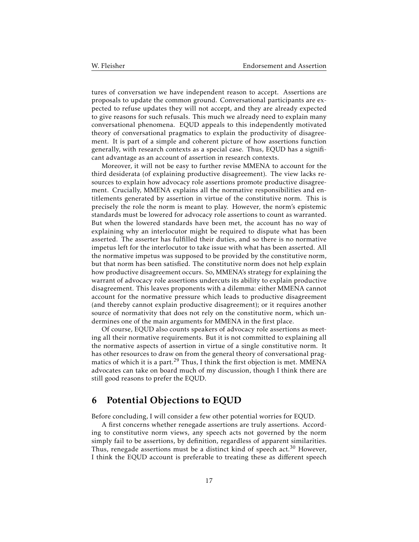tures of conversation we have independent reason to accept. Assertions are proposals to update the common ground. Conversational participants are expected to refuse updates they will not accept, and they are already expected to give reasons for such refusals. This much we already need to explain many conversational phenomena. EQUD appeals to this independently motivated theory of conversational pragmatics to explain the productivity of disagreement. It is part of a simple and coherent picture of how assertions function generally, with research contexts as a special case. Thus, EQUD has a significant advantage as an account of assertion in research contexts.

Moreover, it will not be easy to further revise MMENA to account for the third desiderata (of explaining productive disagreement). The view lacks resources to explain how advocacy role assertions promote productive disagreement. Crucially, MMENA explains all the normative responsibilities and entitlements generated by assertion in virtue of the constitutive norm. This is precisely the role the norm is meant to play. However, the norm's epistemic standards must be lowered for advocacy role assertions to count as warranted. But when the lowered standards have been met, the account has no way of explaining why an interlocutor might be required to dispute what has been asserted. The asserter has fulfilled their duties, and so there is no normative impetus left for the interlocutor to take issue with what has been asserted. All the normative impetus was supposed to be provided by the constitutive norm, but that norm has been satisfied. The constitutive norm does not help explain how productive disagreement occurs. So, MMENA's strategy for explaining the warrant of advocacy role assertions undercuts its ability to explain productive disagreement. This leaves proponents with a dilemma: either MMENA cannot account for the normative pressure which leads to productive disagreement (and thereby cannot explain productive disagreement); or it requires another source of normativity that does not rely on the constitutive norm, which undermines one of the main arguments for MMENA in the first place.

Of course, EQUD also counts speakers of advocacy role assertions as meeting all their normative requirements. But it is not committed to explaining all the normative aspects of assertion in virtue of a single constitutive norm. It has other resources to draw on from the general theory of conversational prag-matics of which it is a part.<sup>[29](#page-22-0)</sup> Thus, I think the first objection is met. MMENA advocates can take on board much of my discussion, though I think there are still good reasons to prefer the EQUD.

# 6 Potential Objections to EQUD

Before concluding, I will consider a few other potential worries for EQUD.

A first concerns whether renegade assertions are truly assertions. According to constitutive norm views, any speech acts not governed by the norm simply fail to be assertions, by definition, regardless of apparent similarities. Thus, renegade assertions must be a distinct kind of speech act.<sup>[30](#page-22-1)</sup> However, I think the EQUD account is preferable to treating these as different speech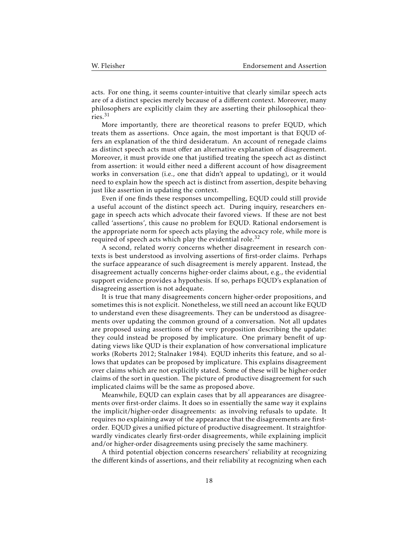acts. For one thing, it seems counter-intuitive that clearly similar speech acts are of a distinct species merely because of a different context. Moreover, many philosophers are explicitly claim they are asserting their philosophical theo- $ries.<sup>31</sup>$  $ries.<sup>31</sup>$  $ries.<sup>31</sup>$ 

More importantly, there are theoretical reasons to prefer EQUD, which treats them as assertions. Once again, the most important is that EQUD offers an explanation of the third desideratum. An account of renegade claims as distinct speech acts must offer an alternative explanation of disagreement. Moreover, it must provide one that justified treating the speech act as distinct from assertion: it would either need a different account of how disagreement works in conversation (i.e., one that didn't appeal to updating), or it would need to explain how the speech act is distinct from assertion, despite behaving just like assertion in updating the context.

Even if one finds these responses uncompelling, EQUD could still provide a useful account of the distinct speech act. During inquiry, researchers engage in speech acts which advocate their favored views. If these are not best called 'assertions', this cause no problem for EQUD. Rational endorsement is the appropriate norm for speech acts playing the advocacy role, while more is required of speech acts which play the evidential role. $32$ 

A second, related worry concerns whether disagreement in research contexts is best understood as involving assertions of first-order claims. Perhaps the surface appearance of such disagreement is merely apparent. Instead, the disagreement actually concerns higher-order claims about, e.g., the evidential support evidence provides a hypothesis. If so, perhaps EQUD's explanation of disagreeing assertion is not adequate.

It is true that many disagreements concern higher-order propositions, and sometimes this is not explicit. Nonetheless, we still need an account like EQUD to understand even these disagreements. They can be understood as disagreements over updating the common ground of a conversation. Not all updates are proposed using assertions of the very proposition describing the update: they could instead be proposed by implicature. One primary benefit of updating views like QUD is their explanation of how conversational implicature works [\(Roberts 2012;](#page-25-1) [Stalnaker 1984\)](#page-26-3). EQUD inherits this feature, and so allows that updates can be proposed by implicature. This explains disagreement over claims which are not explicitly stated. Some of these will be higher-order claims of the sort in question. The picture of productive disagreement for such implicated claims will be the same as proposed above.

Meanwhile, EQUD can explain cases that by all appearances are disagreements over first-order claims. It does so in essentially the same way it explains the implicit/higher-order disagreements: as involving refusals to update. It requires no explaining away of the appearance that the disagreements are firstorder. EQUD gives a unified picture of productive disagreement. It straightforwardly vindicates clearly first-order disagreements, while explaining implicit and/or higher-order disagreements using precisely the same machinery.

A third potential objection concerns researchers' reliability at recognizing the different kinds of assertions, and their reliability at recognizing when each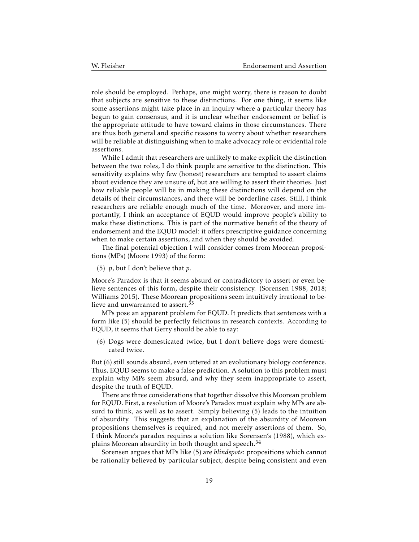role should be employed. Perhaps, one might worry, there is reason to doubt that subjects are sensitive to these distinctions. For one thing, it seems like some assertions might take place in an inquiry where a particular theory has begun to gain consensus, and it is unclear whether endorsement or belief is the appropriate attitude to have toward claims in those circumstances. There are thus both general and specific reasons to worry about whether researchers will be reliable at distinguishing when to make advocacy role or evidential role assertions.

While I admit that researchers are unlikely to make explicit the distinction between the two roles, I do think people are sensitive to the distinction. This sensitivity explains why few (honest) researchers are tempted to assert claims about evidence they are unsure of, but are willing to assert their theories. Just how reliable people will be in making these distinctions will depend on the details of their circumstances, and there will be borderline cases. Still, I think researchers are reliable enough much of the time. Moreover, and more importantly, I think an acceptance of EQUD would improve people's ability to make these distinctions. This is part of the normative benefit of the theory of endorsement and the EQUD model: it offers prescriptive guidance concerning when to make certain assertions, and when they should be avoided.

The final potential objection I will consider comes from Moorean propositions (MPs) [\(Moore 1993\)](#page-25-8) of the form:

(5) *p*, but I don't believe that *p*.

Moore's Paradox is that it seems absurd or contradictory to assert or even believe sentences of this form, despite their consistency. [\(Sorensen 1988,](#page-25-9) [2018;](#page-25-10) [Williams 2015\)](#page-26-10). These Moorean propositions seem intuitively irrational to be-lieve and unwarranted to assert.<sup>[33](#page-22-4)</sup>

MPs pose an apparent problem for EQUD. It predicts that sentences with a form like (5) should be perfectly felicitous in research contexts. According to EQUD, it seems that Gerry should be able to say:

(6) Dogs were domesticated twice, but I don't believe dogs were domesticated twice.

But (6) still sounds absurd, even uttered at an evolutionary biology conference. Thus, EQUD seems to make a false prediction. A solution to this problem must explain why MPs seem absurd, and why they seem inappropriate to assert, despite the truth of EQUD.

There are three considerations that together dissolve this Moorean problem for EQUD. First, a resolution of Moore's Paradox must explain why MPs are absurd to think, as well as to assert. Simply believing (5) leads to the intuition of absurdity. This suggests that an explanation of the absurdity of Moorean propositions themselves is required, and not merely assertions of them. So, I think Moore's paradox requires a solution like Sorensen's [\(1988\)](#page-25-9), which ex-plains Moorean absurdity in both thought and speech.<sup>[34](#page-22-5)</sup>

Sorensen argues that MPs like (5) are *blindspots*: propositions which cannot be rationally believed by particular subject, despite being consistent and even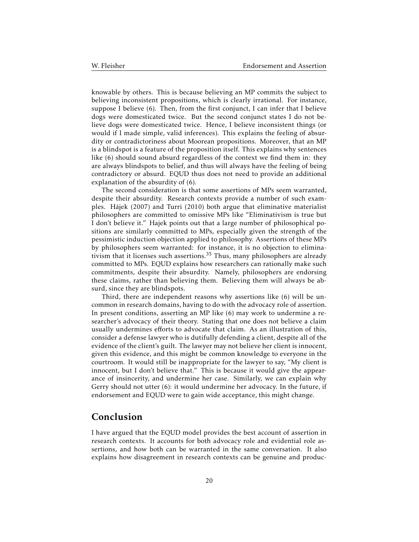knowable by others. This is because believing an MP commits the subject to believing inconsistent propositions, which is clearly irrational. For instance, suppose I believe (6). Then, from the first conjunct, I can infer that I believe dogs were domesticated twice. But the second conjunct states I do not believe dogs were domesticated twice. Hence, I believe inconsistent things (or would if I made simple, valid inferences). This explains the feeling of absurdity or contradictoriness about Moorean propositions. Moreover, that an MP is a blindspot is a feature of the proposition itself. This explains why sentences like (6) should sound absurd regardless of the context we find them in: they are always blindspots to belief, and thus will always have the feeling of being contradictory or absurd. EQUD thus does not need to provide an additional explanation of the absurdity of (6).

The second consideration is that some assertions of MPs seem warranted, despite their absurdity. Research contexts provide a number of such examples. [Hajek](#page-24-1) [\(2007\)](#page-24-1) and [Turri](#page-26-11) [\(2010\)](#page-26-11) both argue that eliminative materialist ´ philosophers are committed to omissive MPs like "Eliminativism is true but I don't believe it." Hajek points out that a large number of philosophical positions are similarly committed to MPs, especially given the strength of the pessimistic induction objection applied to philosophy. Assertions of these MPs by philosophers seem warranted: for instance, it is no objection to elimina-tivism that it licenses such assertions.<sup>[35](#page-22-6)</sup> Thus, many philosophers are already committed to MPs. EQUD explains how researchers can rationally make such commitments, despite their absurdity. Namely, philosophers are endorsing these claims, rather than believing them. Believing them will always be absurd, since they are blindspots.

Third, there are independent reasons why assertions like (6) will be uncommon in research domains, having to do with the advocacy role of assertion. In present conditions, asserting an MP like (6) may work to undermine a researcher's advocacy of their theory. Stating that one does not believe a claim usually undermines efforts to advocate that claim. As an illustration of this, consider a defense lawyer who is dutifully defending a client, despite all of the evidence of the client's guilt. The lawyer may not believe her client is innocent, given this evidence, and this might be common knowledge to everyone in the courtroom. It would still be inappropriate for the lawyer to say, "My client is innocent, but I don't believe that." This is because it would give the appearance of insincerity, and undermine her case. Similarly, we can explain why Gerry should not utter (6): it would undermine her advocacy. In the future, if endorsement and EQUD were to gain wide acceptance, this might change.

# Conclusion

I have argued that the EQUD model provides the best account of assertion in research contexts. It accounts for both advocacy role and evidential role assertions, and how both can be warranted in the same conversation. It also explains how disagreement in research contexts can be genuine and produc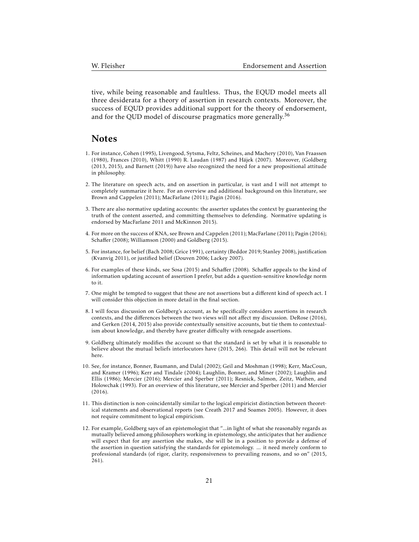tive, while being reasonable and faultless. Thus, the EQUD model meets all three desiderata for a theory of assertion in research contexts. Moreover, the success of EQUD provides additional support for the theory of endorsement, and for the QUD model of discourse pragmatics more generally.<sup>[36](#page-22-7)</sup>

### **Notes**

- <span id="page-20-0"></span>1. For instance, [Cohen](#page-23-12) [\(1995\)](#page-23-12), [Livengood, Sytsma, Feltz, Scheines, and Machery](#page-24-5) [\(2010\)](#page-24-5), [Van Fraassen](#page-26-12) [\(1980\)](#page-26-12), [Frances](#page-23-5) [\(2010\)](#page-23-5), [Whitt](#page-26-13) [\(1990\)](#page-26-13) [R. Laudan](#page-24-6) [\(1987\)](#page-24-6) and [Hajek](#page-24-1) [\(2007\)](#page-24-1). Moreover, [\(Goldberg](#page-23-7) ´ [\(2013,](#page-23-7) [2015\)](#page-23-3), and [Barnett](#page-22-8) [\(2019\)](#page-22-8)) have also recognized the need for a new propositional attitude in philosophy.
- <span id="page-20-1"></span>2. The literature on speech acts, and on assertion in particular, is vast and I will not attempt to completely summarize it here. For an overview and additional background on this literature, see [Brown and Cappelen](#page-22-9) [\(2011\)](#page-22-9); [MacFarlane](#page-25-11) [\(2011\)](#page-25-11); [Pagin](#page-25-12) [\(2016\)](#page-25-12).
- <span id="page-20-2"></span>3. There are also normative updating accounts: the asserter updates the context by guaranteeing the truth of the content asserted, and committing themselves to defending. Normative updating is endorsed by [MacFarlane 2011](#page-25-11) and [McKinnon 2015\)](#page-25-2).
- <span id="page-20-3"></span>4. For more on the success of KNA, see [Brown and Cappelen](#page-22-9) [\(2011\)](#page-22-9); [MacFarlane](#page-25-11) [\(2011\)](#page-25-11); [Pagin](#page-25-12) [\(2016\)](#page-25-12); [Scha](#page-25-4)ffer [\(2008\)](#page-25-4); [Williamson](#page-26-2) [\(2000\)](#page-26-2) and [Goldberg](#page-23-3) [\(2015\)](#page-23-3).
- <span id="page-20-4"></span>5. For instance, for belief [\(Bach 2008;](#page-22-10) [Grice 1991\)](#page-24-7), certainty [\(Beddor 2019;](#page-22-11) [Stanley 2008\)](#page-26-14), justification [\(Kvanvig 2011\)](#page-24-8), or justified belief [\(Douven 2006;](#page-23-13) [Lackey 2007\)](#page-24-9).
- <span id="page-20-5"></span>6. For examples of these kinds, see [Sosa](#page-26-15) [\(2015\)](#page-26-15) and [Scha](#page-25-4)ffer [\(2008\)](#page-25-4). Schaffer appeals to the kind of information updating account of assertion I prefer, but adds a question-sensitive knowledge norm to it.
- <span id="page-20-6"></span>7. One might be tempted to suggest that these are not assertions but a different kind of speech act. I will consider this objection in more detail in the final section.
- <span id="page-20-7"></span>8. I will focus discussion on Goldberg's account, as he specifically considers assertions in research contexts, and the differences between the two views will not affect my discussion. [DeRose](#page-23-8) [\(2016\)](#page-23-8), and [Gerken](#page-23-14) [\(2014,](#page-23-14) [2015\)](#page-23-4) also provide contextually sensitive accounts, but tie them to contextualism about knowledge, and thereby have greater difficulty with renegade assertions.
- <span id="page-20-8"></span>9. Goldberg ultimately modifies the account so that the standard is set by what it is reasonable to believe about the mutual beliefs interlocutors have [\(2015,](#page-23-3) 266). This detail will not be relevant here.
- <span id="page-20-9"></span>10. See, for instance, [Bonner, Baumann, and Dalal](#page-22-12) [\(2002\)](#page-22-12); [Geil and Moshman](#page-23-15) [\(1998\)](#page-23-15); [Kerr, MacCoun,](#page-24-10) [and Kramer](#page-24-10) [\(1996\)](#page-24-10); [Kerr and Tindale](#page-24-11) [\(2004\)](#page-24-11); [Laughlin, Bonner, and Miner](#page-24-12) [\(2002\)](#page-24-12); [Laughlin and](#page-24-13) [Ellis](#page-24-13) [\(1986\)](#page-24-13); [Mercier](#page-25-13) [\(2016\)](#page-25-13); [Mercier and Sperber](#page-25-14) [\(2011\)](#page-25-14); [Resnick, Salmon, Zeitz, Wathen, and](#page-25-15) [Holowchak](#page-25-15) [\(1993\)](#page-25-15). For an overview of this literature, see [Mercier and Sperber](#page-25-14) [\(2011\)](#page-25-14) and [Mercier](#page-25-13) [\(2016\)](#page-25-13).
- <span id="page-20-10"></span>11. This distinction is non-coincidentally similar to the logical empiricist distinction between theoretical statements and observational reports (see [Creath 2017](#page-23-16) and [Soames 2005\)](#page-25-16). However, it does not require commitment to logical empiricism.
- <span id="page-20-11"></span>12. For example, Goldberg says of an epistemologist that "...in light of what she reasonably regards as mutually believed among philosophers working in epistemology, she anticipates that her audience will expect that for any assertion she makes, she will be in a position to provide a defense of the assertion in question satisfying the standards for epistemology. ... it need merely conform to professional standards (of rigor, clarity, responsiveness to prevailing reasons, and so on" [\(2015,](#page-23-3) 261).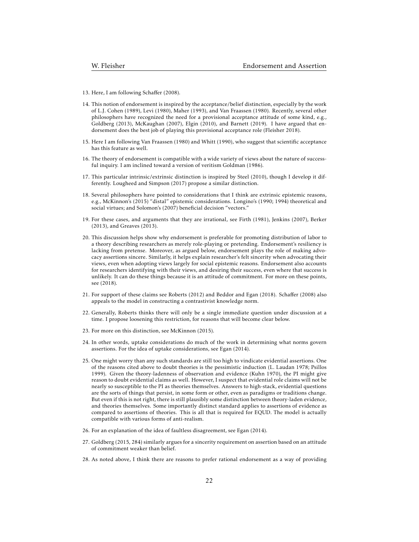- <span id="page-21-0"></span>13. Here, I am following [Scha](#page-25-4)ffer [\(2008\)](#page-25-4).
- <span id="page-21-1"></span>14. This notion of endorsement is inspired by the acceptance/belief distinction, especially by the work of L.J. [Cohen](#page-23-17) [\(1989\)](#page-23-17), [Levi](#page-24-14) [\(1980\)](#page-24-14), [Maher](#page-25-17) [\(1993\)](#page-25-17), and [Van Fraassen](#page-26-12) [\(1980\)](#page-26-12). Recently, several other philosophers have recognized the need for a provisional acceptance attitude of some kind, e.g., [Goldberg](#page-23-7) [\(2013\)](#page-23-7), [McKaughan](#page-25-18) [\(2007\)](#page-25-18), [Elgin](#page-23-18) [\(2010\)](#page-23-18), and [Barnett](#page-22-8) [\(2019\)](#page-22-8). I have argued that endorsement does the best job of playing this provisional acceptance role [\(Fleisher 2018\)](#page-23-2).
- <span id="page-21-2"></span>15. Here I am following [Van Fraassen](#page-26-12) [\(1980\)](#page-26-12) and [Whitt](#page-26-13) [\(1990\)](#page-26-13), who suggest that scientific acceptance has this feature as well.
- <span id="page-21-3"></span>16. The theory of endorsement is compatible with a wide variety of views about the nature of successful inquiry. I am inclined toward a version of veritism [Goldman](#page-23-19) [\(1986\)](#page-23-19).
- <span id="page-21-4"></span>17. This particular intrinsic/extrinsic distinction is inspired by [Steel](#page-26-8) [\(2010\)](#page-26-8), though I develop it differently. [Lougheed and Simpson](#page-25-19) [\(2017\)](#page-25-19) propose a similar distinction.
- <span id="page-21-5"></span>18. Several philosophers have pointed to considerations that I think are extrinsic epistemic reasons, e.g., McKinnon's [\(2015\)](#page-25-2) "distal" epistemic considerations. Longino's [\(1990;](#page-24-2) [1994\)](#page-24-15) theoretical and social virtues; and Solomon's [\(2007\)](#page-25-20) beneficial decision "vectors."
- <span id="page-21-6"></span>19. For these cases, and arguments that they are irrational, see [Firth](#page-23-20) [\(1981\)](#page-23-20), [Jenkins](#page-24-16) [\(2007\)](#page-24-16), [Berker](#page-22-13) [\(2013\)](#page-22-13), and [Greaves](#page-24-17) [\(2013\)](#page-24-17).
- <span id="page-21-7"></span>20. This discussion helps show why endorsement is preferable for promoting distribution of labor to a theory describing researchers as merely role-playing or pretending. Endorsement's resiliency is lacking from pretense. Moreover, as argued below, endorsement plays the role of making advocacy assertions sincere. Similarly, it helps explain researcher's felt sincerity when advocating their views, even when adopting views largely for social epistemic reasons. Endorsement also accounts for researchers identifying with their views, and desiring their success, even where that success is unlikely. It can do these things because it is an attitude of commitment. For more on these points, see [\(2018\)](#page-23-2).
- <span id="page-21-8"></span>21. For support of these claims see [Roberts](#page-25-1) [\(2012\)](#page-25-1) and [Beddor and Egan](#page-22-14) [\(2018\)](#page-22-14). [Scha](#page-25-4)ffer [\(2008\)](#page-25-4) also appeals to the model in constructing a contrastivist knowledge norm.
- <span id="page-21-9"></span>22. Generally, Roberts thinks there will only be a single immediate question under discussion at a time. I propose loosening this restriction, for reasons that will become clear below.
- <span id="page-21-10"></span>23. For more on this distinction, see [McKinnon](#page-25-2) [\(2015\)](#page-25-2).
- <span id="page-21-11"></span>24. In other words, uptake considerations do much of the work in determining what norms govern assertions. For the idea of uptake considerations, see [Egan](#page-23-21) [\(2014\)](#page-23-21).
- <span id="page-21-12"></span>25. One might worry than any such standards are still too high to vindicate evidential assertions. One of the reasons cited above to doubt theories is the pessimistic induction [\(L. Laudan 1978;](#page-24-18) [Psillos](#page-25-3) [1999\)](#page-25-3). Given the theory-ladenness of observation and evidence [\(Kuhn 1970\)](#page-24-19), the PI might give reason to doubt evidential claims as well. However, I suspect that evidential role claims will not be nearly so susceptible to the PI as theories themselves. Answers to high-stack, evidential questions are the sorts of things that persist, in some form or other, even as paradigms or traditions change. But even if this is not right, there is still plausibly some distinction between theory-laden evidence, and theories themselves. Some importantly distinct standard applies to assertions of evidence as compared to assertions of theories. This is all that is required for EQUD. The model is actually compatible with various forms of anti-realism.
- <span id="page-21-13"></span>26. For an explanation of the idea of faultless disagreement, see [Egan](#page-23-21) [\(2014\)](#page-23-21).
- <span id="page-21-14"></span>27. Goldberg [\(2015,](#page-23-3) 284) similarly argues for a sincerity requirement on assertion based on an attitude of commitment weaker than belief.
- <span id="page-21-15"></span>28. As noted above, I think there are reasons to prefer rational endorsement as a way of providing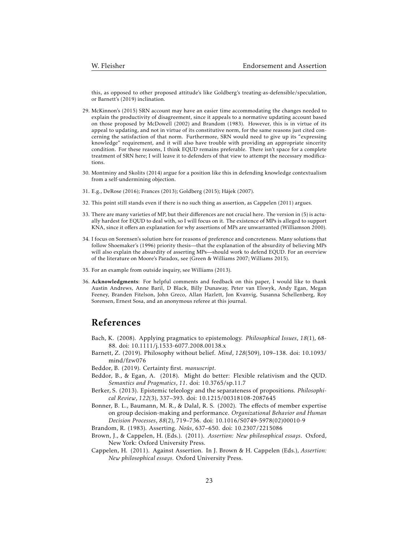this, as opposed to other proposed attitude's like Goldberg's treating-as-defensible/speculation, or Barnett's [\(2019\)](#page-22-8) inclination.

- <span id="page-22-0"></span>29. McKinnon's [\(2015\)](#page-25-2) SRN account may have an easier time accommodating the changes needed to explain the productivity of disagreement, since it appeals to a normative updating account based on those proposed by [McDowell](#page-25-21) [\(2002\)](#page-25-21) and [Brandom](#page-22-15) [\(1983\)](#page-22-15). However, this is in virtue of its appeal to updating, and not in virtue of its constitutive norm, for the same reasons just cited concerning the satisfaction of that norm. Furthermore, SRN would need to give up its "expressing knowledge" requirement, and it will also have trouble with providing an appropriate sincerity condition. For these reasons, I think EQUD remains preferable. There isn't space for a complete treatment of SRN here; I will leave it to defenders of that view to attempt the necessary modifications.
- <span id="page-22-1"></span>30. [Montminy and Skolits](#page-25-22) [\(2014\)](#page-25-22) argue for a position like this in defending knowledge contextualism from a self-undermining objection.
- <span id="page-22-2"></span>31. E.g., [DeRose](#page-23-8) [\(2016\)](#page-23-8); [Frances](#page-23-6) [\(2013\)](#page-23-6); [Goldberg](#page-23-3) [\(2015\)](#page-23-3); [Hajek](#page-24-1) [\(2007\)](#page-24-1). ´
- <span id="page-22-3"></span>32. This point still stands even if there is no such thing as assertion, as [Cappelen](#page-22-16) [\(2011\)](#page-22-16) argues.
- <span id="page-22-4"></span>33. There are many varieties of MP, but their differences are not crucial here. The version in (5) is actually hardest for EQUD to deal with, so I will focus on it. The existence of MPs is alleged to support KNA, since it offers an explanation for why assertions of MPs are unwarranted [\(Williamson 2000\)](#page-26-2).
- <span id="page-22-5"></span>34. I focus on Sorensen's solution here for reasons of preference and concreteness. Many solutions that follow Shoemaker's [\(1996\)](#page-25-23) priority thesis—that the explanation of the absurdity of believing MPs will also explain the absurdity of asserting MPs—should work to defend EQUD. For an overview of the literature on Moore's Paradox, see [\(Green & Williams 2007;](#page-24-20) [Williams 2015\)](#page-26-10).
- <span id="page-22-6"></span>35. For an example from outside inquiry, see [Williams](#page-26-16) [\(2013\)](#page-26-16).
- <span id="page-22-7"></span>36. Acknowledgments: For helpful comments and feedback on this paper, I would like to thank Austin Andrews, Anne Baril, D Black, Billy Dunaway, Peter van Elswyk, Andy Egan, Megan Feeney, Branden Fitelson, John Greco, Allan Hazlett, Jon Kvanvig, Susanna Schellenberg, Roy Sorensen, Ernest Sosa, and an anonymous referee at this journal.

### References

- <span id="page-22-10"></span>Bach, K. (2008). Applying pragmatics to epistemology. *Philosophical Issues*, *18*(1), 68- 88. doi: 10.1111/j.1533-6077.2008.00138.x
- <span id="page-22-8"></span>Barnett, Z. (2019). Philosophy without belief. *Mind*, *128*(509), 109–138. doi: 10.1093/ mind/fzw076
- <span id="page-22-11"></span>Beddor, B. (2019). Certainty first. *manuscript*.
- <span id="page-22-14"></span>Beddor, B., & Egan, A. (2018). Might do better: Flexible relativism and the QUD. *Semantics and Pragmatics*, *11*. doi: 10.3765/sp.11.7
- <span id="page-22-13"></span>Berker, S. (2013). Epistemic teleology and the separateness of propositions. *Philosophical Review*, *122*(3), 337–393. doi: 10.1215/00318108-2087645
- <span id="page-22-12"></span>Bonner, B. L., Baumann, M. R., & Dalal, R. S. (2002). The effects of member expertise on group decision-making and performance. *Organizational Behavior and Human Decision Processes*, *88*(2), 719–736. doi: 10.1016/S0749-5978(02)00010-9
- <span id="page-22-15"></span>Brandom, R. (1983). Asserting. *Nousˆ* , 637–650. doi: 10.2307/2215086
- <span id="page-22-9"></span>Brown, J., & Cappelen, H. (Eds.). (2011). *Assertion: New philosophical essays*. Oxford, New York: Oxford University Press.
- <span id="page-22-16"></span>Cappelen, H. (2011). Against Assertion. In J. Brown & H. Cappelen (Eds.), *Assertion: New philosophical essays.* Oxford University Press.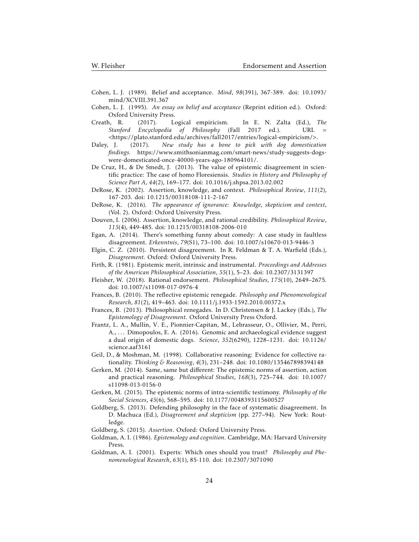- <span id="page-23-17"></span>Cohen, L. J. (1989). Belief and acceptance. *Mind*, *98*(391), 367-389. doi: 10.1093/ mind/XCVIII.391.367
- <span id="page-23-12"></span>Cohen, L. J. (1995). *An essay on belief and acceptance* (Reprint edition ed.). Oxford: Oxford University Press.
- <span id="page-23-16"></span>Creath, R. (2017). Logical empiricism. In E. N. Zalta (Ed.), *The Stanford Encyclopedia of Philosophy* (Fall 2017 ed.). URL = *<*https://plato.stanford.edu/archives/fall2017/entries/logical-empiricism/*>*.
- <span id="page-23-1"></span>Daley, J. (2017). *New study has a bone to pick with dog domestication findings.* https://www.smithsonianmag.com/smart-news/study-suggests-dogswere-domesticated-once-40000-years-ago-180964101/.
- <span id="page-23-11"></span>De Cruz, H., & De Smedt, J. (2013). The value of epistemic disagreement in scientific practice: The case of homo Floresiensis. *Studies in History and Philosophy of Science Part A*, *44*(2), 169–177. doi: 10.1016/j.shpsa.2013.02.002
- <span id="page-23-9"></span>DeRose, K. (2002). Assertion, knowledge, and context. *Philosophical Review*, *111*(2), 167-203. doi: 10.1215/00318108-111-2-167
- <span id="page-23-8"></span>DeRose, K. (2016). *The appearance of ignorance: Knowledge, skepticism and context,* (Vol. 2). Oxford: Oxford University Press.
- <span id="page-23-13"></span>Douven, I. (2006). Assertion, knowledge, and rational credibility. *Philosophical Review*, *115*(4), 449-485. doi: 10.1215/00318108-2006-010
- <span id="page-23-21"></span>Egan, A. (2014). There's something funny about comedy: A case study in faultless disagreement. *Erkenntnis*, *79*(S1), 73–100. doi: 10.1007/s10670-013-9446-3
- <span id="page-23-18"></span>Elgin, C. Z. (2010). Persistent disagreement. In R. Feldman & T. A. Warfield (Eds.), *Disagreement.* Oxford: Oxford University Press.
- <span id="page-23-20"></span>Firth, R. (1981). Epistemic merit, intrinsic and instrumental. *Proceedings and Addresses of the American Philosophical Association*, *55*(1), 5–23. doi: 10.2307/3131397
- <span id="page-23-2"></span>Fleisher, W. (2018). Rational endorsement. *Philosophical Studies*, *175*(10), 2649–2675. doi: 10.1007/s11098-017-0976-4
- <span id="page-23-5"></span>Frances, B. (2010). The reflective epistemic renegade. *Philosophy and Phenomenological Research*, *81*(2), 419–463. doi: 10.1111/j.1933-1592.2010.00372.x
- <span id="page-23-6"></span>Frances, B. (2013). Philosophical renegades. In D. Christensen & J. Lackey (Eds.), *The Epistemology of Disagreement.* Oxford University Press Oxford.
- <span id="page-23-0"></span>Frantz, L. A., Mullin, V. E., Pionnier-Capitan, M., Lebrasseur, O., Ollivier, M., Perri, A., . . . Dimopoulos, E. A. (2016). Genomic and archaeological evidence suggest a dual origin of domestic dogs. *Science*, *352*(6290), 1228–1231. doi: 10.1126/ science.aaf3161
- <span id="page-23-15"></span>Geil, D., & Moshman, M. (1998). Collaborative reasoning: Evidence for collective rationality. *Thinking & Reasoning*, *4*(3), 231–248. doi: 10.1080/135467898394148
- <span id="page-23-14"></span>Gerken, M. (2014). Same, same but different: The epistemic norms of assertion, action and practical reasoning. *Philosophical Studies*, *168*(3), 725–744. doi: 10.1007/ s11098-013-0156-0
- <span id="page-23-4"></span>Gerken, M. (2015). The epistemic norms of intra-scientific testimony. *Philosophy of the Social Sciences*, *45*(6), 568–595. doi: 10.1177/0048393115600527
- <span id="page-23-7"></span>Goldberg, S. (2013). Defending philosophy in the face of systematic disagreement. In D. Machuca (Ed.), *Disagreement and skepticism* (pp. 277–94). New York: Routledge.
- <span id="page-23-3"></span>Goldberg, S. (2015). *Assertion*. Oxford: Oxford University Press.
- <span id="page-23-19"></span>Goldman, A. I. (1986). *Epistemology and cognition*. Cambridge, MA: Harvard University Press.
- <span id="page-23-10"></span>Goldman, A. I. (2001). Experts: Which ones should you trust? *Philosophy and Phenomenological Research*, *63*(1), 85-110. doi: 10.2307/3071090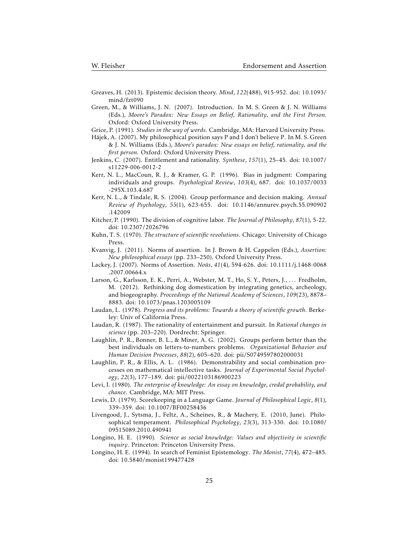- <span id="page-24-17"></span>Greaves, H. (2013). Epistemic decision theory. *Mind*, *122*(488), 915-952. doi: 10.1093/ mind/fzt090
- <span id="page-24-20"></span>Green, M., & Williams, J. N. (2007). Introduction. In M. S. Green & J. N. Williams (Eds.), *Moore's Paradox: New Essays on Belief, Rationality, and the First Person.* Oxford: Oxford University Press.
- <span id="page-24-7"></span>Grice, P. (1991). *Studies in the way of words*. Cambridge, MA: Harvard University Press.
- <span id="page-24-1"></span>Hájek, A. (2007). My philosophical position says P and I don't believe P. In M. S. Green & J. N. Williams (Eds.), *Moore's paradox: New essays on belief, rationality, and the first person.* Oxford: Oxford University Press.
- <span id="page-24-16"></span>Jenkins, C. (2007). Entitlement and rationality. *Synthese*, *157*(1), 25–45. doi: 10.1007/ s11229-006-0012-2
- <span id="page-24-10"></span>Kerr, N. L., MacCoun, R. J., & Kramer, G. P. (1996). Bias in judgment: Comparing individuals and groups. *Psychological Review*, *103*(4), 687. doi: 10.1037/0033 -295X.103.4.687
- <span id="page-24-11"></span>Kerr, N. L., & Tindale, R. S. (2004). Group performance and decision making. *Annual Review of Psychology*, *55*(1), 623-655. doi: 10.1146/annurev.psych.55.090902 .142009
- <span id="page-24-3"></span>Kitcher, P. (1990). The division of cognitive labor. *The Journal of Philosophy*, *87*(1), 5-22. doi: 10.2307/2026796
- <span id="page-24-19"></span>Kuhn, T. S. (1970). *The structure of scientific revolutions*. Chicago: University of Chicago Press.
- <span id="page-24-8"></span>Kvanvig, J. (2011). Norms of assertion. In J. Brown & H. Cappelen (Eds.), *Assertion: New philosophical essays* (pp. 233–250). Oxford University Press.
- <span id="page-24-9"></span>Lackey, J. (2007). Norms of Assertion. *Noûs*, 41(4), 594-626. doi: 10.1111/j.1468-0068 .2007.00664.x
- <span id="page-24-0"></span>Larson, G., Karlsson, E. K., Perri, A., Webster, M. T., Ho, S. Y., Peters, J., ... Fredholm, M. (2012). Rethinking dog domestication by integrating genetics, archeology, and biogeography. *Proceedings of the National Academy of Sciences*, *109*(23), 8878– 8883. doi: 10.1073/pnas.1203005109
- <span id="page-24-18"></span>Laudan, L. (1978). *Progress and its problems: Towards a theory of scientific growth*. Berkeley: Univ of California Press.
- <span id="page-24-6"></span>Laudan, R. (1987). The rationality of entertainment and pursuit. In *Rational changes in science* (pp. 203–220). Dordrecht: Springer.
- <span id="page-24-12"></span>Laughlin, P. R., Bonner, B. L., & Miner, A. G. (2002). Groups perform better than the best individuals on letters-to-numbers problems. *Organizational Behavior and Human Decision Processes*, *88*(2), 605–620. doi: pii/S0749597802000031
- <span id="page-24-13"></span>Laughlin, P. R., & Ellis, A. L. (1986). Demonstrability and social combination processes on mathematical intellective tasks. *Journal of Experimental Social Psychology*, *22*(3), 177–189. doi: pii/0022103186900223
- <span id="page-24-14"></span>Levi, I. (1980). *The enterprise of knowledge: An essay on knowledge, credal probability, and chance*. Cambridge, MA: MIT Press.
- <span id="page-24-4"></span>Lewis, D. (1979). Scorekeeping in a Language Game. *Journal of Philosophical Logic*, *8*(1), 339–359. doi: 10.1007/BF00258436
- <span id="page-24-5"></span>Livengood, J., Sytsma, J., Feltz, A., Scheines, R., & Machery, E. (2010, June). Philosophical temperament. *Philosophical Psychology*, *23*(3), 313-330. doi: 10.1080/ 09515089.2010.490941
- <span id="page-24-2"></span>Longino, H. E. (1990). *Science as social knowledge: Values and objectivity in scientific inquiry*. Princeton: Princeton University Press.
- <span id="page-24-15"></span>Longino, H. E. (1994). In search of Feminist Epistemology. *The Monist*, *77*(4), 472–485. doi: 10.5840/monist199477428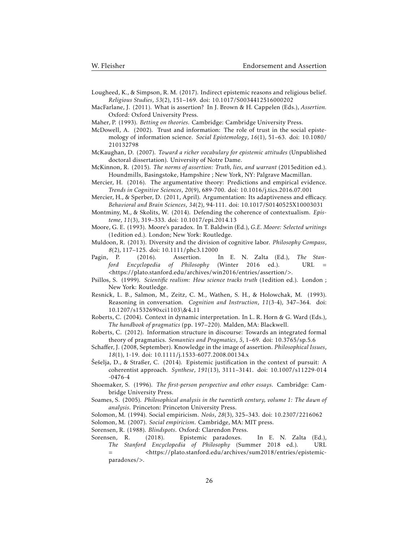- <span id="page-25-19"></span>Lougheed, K., & Simpson, R. M. (2017). Indirect epistemic reasons and religious belief. *Religious Studies*, *53*(2), 151–169. doi: 10.1017/S0034412516000202
- <span id="page-25-11"></span>MacFarlane, J. (2011). What is assertion? In J. Brown & H. Cappelen (Eds.), *Assertion.* Oxford: Oxford University Press.
- <span id="page-25-17"></span>Maher, P. (1993). *Betting on theories*. Cambridge: Cambridge University Press.
- <span id="page-25-21"></span>McDowell, A. (2002). Trust and information: The role of trust in the social epistemology of information science. *Social Epistemology*, *16*(1), 51–63. doi: 10.1080/ 210132798
- <span id="page-25-18"></span>McKaughan, D. (2007). *Toward a richer vocabulary for epistemic attitudes* (Unpublished doctoral dissertation). University of Notre Dame.
- <span id="page-25-2"></span>McKinnon, R. (2015). *The norms of assertion: Truth, lies, and warrant* (2015edition ed.). Houndmills, Basingstoke, Hampshire ; New York, NY: Palgrave Macmillan.
- <span id="page-25-13"></span>Mercier, H. (2016). The argumentative theory: Predictions and empirical evidence. *Trends in Cognitive Sciences*, *20*(9), 689-700. doi: 10.1016/j.tics.2016.07.001
- <span id="page-25-14"></span>Mercier, H., & Sperber, D. (2011, April). Argumentation: Its adaptiveness and efficacy. *Behavioral and Brain Sciences*, *34*(2), 94-111. doi: 10.1017/S0140525X10003031
- <span id="page-25-22"></span>Montminy, M., & Skolits, W. (2014). Defending the coherence of contextualism. *Episteme*, *11*(3), 319–333. doi: 10.1017/epi.2014.13
- <span id="page-25-8"></span>Moore, G. E. (1993). Moore's paradox. In T. Baldwin (Ed.), *G.E. Moore: Selected writings* (1edition ed.). London; New York: Routledge.

<span id="page-25-6"></span>Muldoon, R. (2013). Diversity and the division of cognitive labor. *Philosophy Compass*, *8*(2), 117–125. doi: 10.1111/phc3.12000

- <span id="page-25-12"></span>Pagin, P. (2016). Assertion. In E. N. Zalta (Ed.), *The Stanford Encyclopedia of Philosophy* (Winter 2016 ed.). URL = *<*https://plato.stanford.edu/archives/win2016/entries/assertion/*>*.
- <span id="page-25-3"></span>Psillos, S. (1999). *Scientific realism: How science tracks truth* (1edition ed.). London ; New York: Routledge.
- <span id="page-25-15"></span>Resnick, L. B., Salmon, M., Zeitz, C. M., Wathen, S. H., & Holowchak, M. (1993). Reasoning in conversation. *Cognition and Instruction*, *11*(3-4), 347–364. doi: 10.1207/s1532690xci1103\&4 11
- <span id="page-25-0"></span>Roberts, C. (2004). Context in dynamic interpretation. In L. R. Horn & G. Ward (Eds.), *The handbook of pragmatics* (pp. 197–220). Malden, MA: Blackwell.
- <span id="page-25-1"></span>Roberts, C. (2012). Information structure in discourse: Towards an integrated formal theory of pragmatics. *Semantics and Pragmatics*, *5*, 1–69. doi: 10.3765/sp.5.6
- <span id="page-25-4"></span>Schaffer, J. (2008, September). Knowledge in the image of assertion. *Philosophical Issues*, *18*(1), 1-19. doi: 10.1111/j.1533-6077.2008.00134.x
- <span id="page-25-7"></span>Sešelja, D., & Straßer, C. (2014). Epistemic justification in the context of pursuit: A coherentist approach. *Synthese*, *191*(13), 3111–3141. doi: 10.1007/s11229-014 -0476-4
- <span id="page-25-23"></span>Shoemaker, S. (1996). *The first-person perspective and other essays*. Cambridge: Cambridge University Press.
- <span id="page-25-16"></span>Soames, S. (2005). *Philosophical analysis in the twentieth century, volume 1: The dawn of analysis*. Princeton: Princeton University Press.
- <span id="page-25-5"></span>Solomon, M. (1994). Social empiricism. *Nousˆ* , *28*(3), 325–343. doi: 10.2307/2216062
- <span id="page-25-20"></span>Solomon, M. (2007). *Social empiricism*. Cambridge, MA: MIT press.

<span id="page-25-9"></span>Sorensen, R. (1988). *Blindspots*. Oxford: Clarendon Press.

<span id="page-25-10"></span>Sorensen, R. (2018). Epistemic paradoxes. In E. N. Zalta (Ed.), *The Stanford Encyclopedia of Philosophy* (Summer 2018 ed.). URL = *<*https://plato.stanford.edu/archives/sum2018/entries/epistemicparadoxes/*>*.